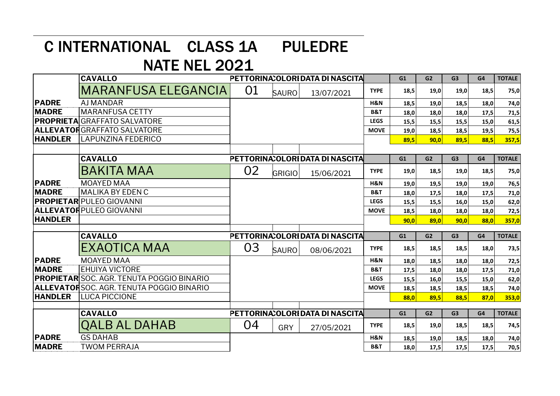## C INTERNATIONAL CLASS 1A PULEDRE

## NATE NEL 2021

|                | <b>CAVALLO</b>                                     | PETTORINA: OLORI DATA DI NASCITA |               |                                  |                | G1   | G <sub>2</sub> | G <sub>3</sub> | G4   | <b>TOTALE</b> |
|----------------|----------------------------------------------------|----------------------------------|---------------|----------------------------------|----------------|------|----------------|----------------|------|---------------|
|                | <b>MARANFUSA ELEGANCIA</b>                         | 01                               | <b>SAURO</b>  | 13/07/2021                       | <b>TYPE</b>    | 18,5 | 19,0           | 19,0           | 18,5 | 75,0          |
| <b>PADRE</b>   | <b>AJ MANDAR</b>                                   |                                  |               |                                  | H&N            | 18,5 | 19,0           | 18,5           | 18,0 | 74,0          |
| <b>MADRE</b>   | <b>MARANFUSA CETTY</b>                             |                                  |               |                                  | <b>B&amp;T</b> | 18,0 | 18,0           | 18,0           | 17,5 | 71,5          |
|                | <b>PROPRIETA</b> GRAFFATO SALVATORE                |                                  |               |                                  | <b>LEGS</b>    | 15,5 | 15,5           | 15,5           | 15,0 | 61,5          |
|                | <b>ALLEVATOR</b> GRAFFATO SALVATORE                |                                  |               |                                  | <b>MOVE</b>    | 19,0 | 18,5           | 18,5           | 19,5 | 75,5          |
| <b>HANDLER</b> | LAPUNZINA FEDERICO                                 |                                  |               |                                  |                | 89,5 | 90,0           | 89,5           | 88.5 | 357,5         |
|                |                                                    |                                  |               |                                  |                |      |                |                |      |               |
|                | <b>CAVALLO</b>                                     | PETTORINA: OLORI DATA DI NASCITA |               |                                  |                | G1   | G <sub>2</sub> | G <sub>3</sub> | G4   | <b>TOTALE</b> |
|                | <b>BAKITA MAA</b>                                  | 02                               | <b>GRIGIO</b> | 15/06/2021                       | <b>TYPE</b>    | 19,0 | 18,5           | 19,0           | 18,5 | 75,0          |
| <b>PADRE</b>   | <b>MOAYED MAA</b>                                  |                                  |               |                                  | H&N            | 19,0 | 19,5           | 19,0           | 19,0 | 76,5          |
| <b>MADRE</b>   | MALIKA BY EDEN C                                   |                                  |               |                                  | <b>B&amp;T</b> | 18,0 | 17,5           | 18,0           | 17,5 | 71,0          |
|                | <b>PROPIETAR</b> PULEO GIOVANNI                    |                                  |               |                                  | <b>LEGS</b>    | 15,5 | 15,5           | 16,0           | 15,0 | 62,0          |
|                | ALLEVATORPULEO GIOVANNI                            |                                  |               |                                  | <b>MOVE</b>    | 18,5 | 18,0           | 18,0           | 18,0 | 72,5          |
| <b>HANDLER</b> |                                                    |                                  |               |                                  |                | 90,0 | 89,0           | 90,0           | 88,0 | 357,0         |
|                |                                                    |                                  |               |                                  |                | G1   | G2             | G <sub>3</sub> | G4   | <b>TOTALE</b> |
|                | <b>CAVALLO</b>                                     |                                  |               | PETTORINA: OLORI DATA DI NASCITA |                |      |                |                |      |               |
|                | EXAOTICA MAA                                       | 03                               | <b>SAURO</b>  | 08/06/2021                       | <b>TYPE</b>    | 18,5 | 18,5           | 18,5           | 18,0 | 73,5          |
| <b>PADRE</b>   | <b>MOAYED MAA</b>                                  |                                  |               |                                  | H&N            | 18,0 | 18,5           | 18,0           | 18,0 | 72,5          |
| <b>MADRE</b>   | <b>EHUIYA VICTORE</b>                              |                                  |               |                                  | <b>B&amp;T</b> | 17,5 | 18,0           | 18,0           | 17,5 | 71,0          |
|                | <b> PROPIETAR</b>  SOC. AGR. TENUTA POGGIO BINARIO |                                  |               |                                  | <b>LEGS</b>    | 15,5 | 16,0           | 15,5           | 15,0 | 62,0          |
|                | ALLEVATORSOC. AGR. TENUTA POGGIO BINARIO           |                                  |               |                                  | <b>MOVE</b>    | 18,5 | 18,5           | 18,5           | 18.5 | 74,0          |
| <b>HANDLER</b> | <b>LUCA PICCIONE</b>                               |                                  |               |                                  |                | 88.0 | 89.5           | 88.5           | 87.0 | 353,0         |
|                |                                                    |                                  |               |                                  |                |      |                |                |      |               |
|                | <b>CAVALLO</b>                                     |                                  |               | PETTORINA: OLORI DATA DI NASCITA |                | G1   | G2             | G <sub>3</sub> | G4   | <b>TOTALE</b> |
|                | <b>QALB AL DAHAB</b>                               | 04                               | <b>GRY</b>    | 27/05/2021                       | <b>TYPE</b>    | 18,5 | 19,0           | 18,5           | 18,5 | 74,5          |
| <b>PADRE</b>   | <b>GS DAHAB</b>                                    |                                  |               |                                  | H&N            | 18,5 | 19,0           | 18,5           | 18,0 | 74,0          |
| <b>MADRE</b>   | <b>TWOM PERRAJA</b>                                |                                  |               |                                  | <b>B&amp;T</b> | 18,0 | 17,5           | 17,5           | 17,5 | 70,5          |